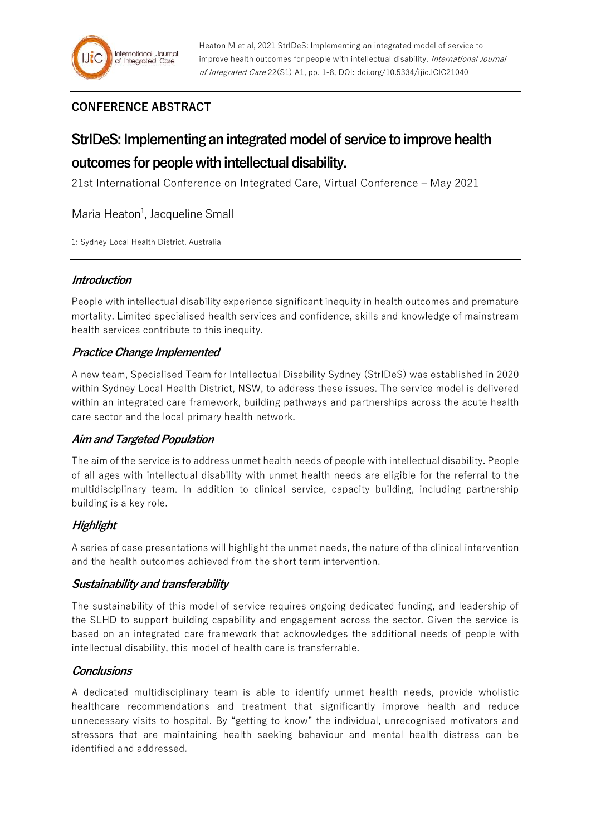## **CONFERENCE ABSTRACT**

# **StrIDeS: Implementing an integrated model of service to improve health outcomes for people with intellectual disability.**

21st International Conference on Integrated Care, Virtual Conference – May 2021

Maria Heaton<sup>1</sup>, Jacqueline Small

1: Sydney Local Health District, Australia

#### **Introduction**

People with intellectual disability experience significant inequity in health outcomes and premature mortality. Limited specialised health services and confidence, skills and knowledge of mainstream health services contribute to this inequity.

#### **Practice Change Implemented**

A new team, Specialised Team for Intellectual Disability Sydney (StrIDeS) was established in 2020 within Sydney Local Health District, NSW, to address these issues. The service model is delivered within an integrated care framework, building pathways and partnerships across the acute health care sector and the local primary health network.

#### **Aim and Targeted Population**

The aim of the service is to address unmet health needs of people with intellectual disability. People of all ages with intellectual disability with unmet health needs are eligible for the referral to the multidisciplinary team. In addition to clinical service, capacity building, including partnership building is a key role.

### **Highlight**

A series of case presentations will highlight the unmet needs, the nature of the clinical intervention and the health outcomes achieved from the short term intervention.

#### **Sustainability and transferability**

The sustainability of this model of service requires ongoing dedicated funding, and leadership of the SLHD to support building capability and engagement across the sector. Given the service is based on an integrated care framework that acknowledges the additional needs of people with intellectual disability, this model of health care is transferrable.

#### **Conclusions**

A dedicated multidisciplinary team is able to identify unmet health needs, provide wholistic healthcare recommendations and treatment that significantly improve health and reduce unnecessary visits to hospital. By "getting to know" the individual, unrecognised motivators and stressors that are maintaining health seeking behaviour and mental health distress can be identified and addressed.